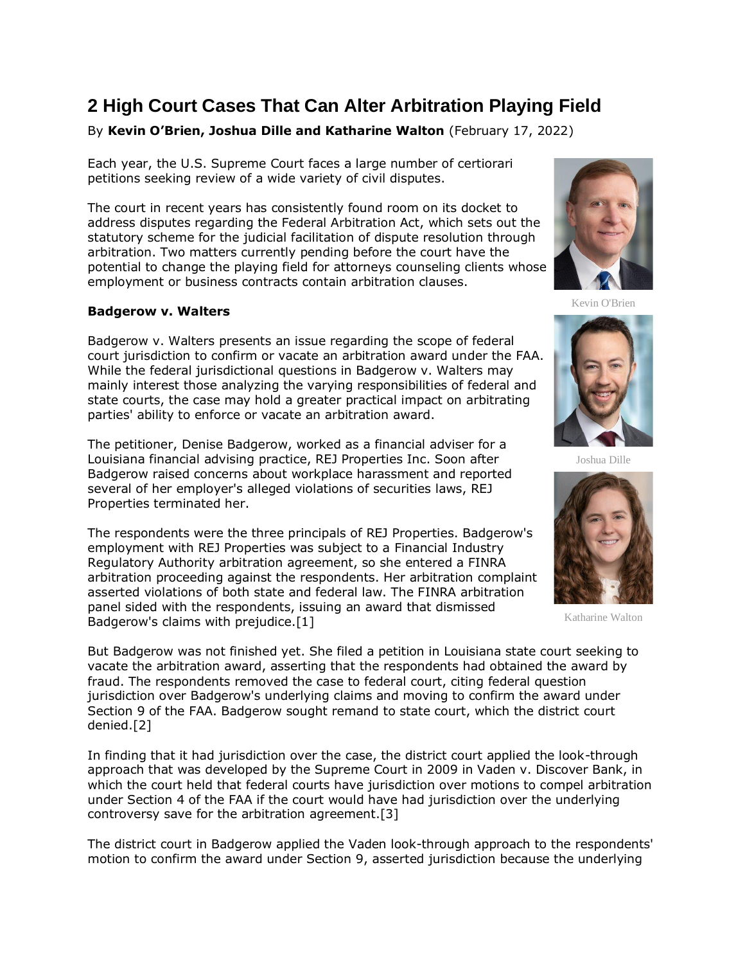## **2 High Court Cases That Can Alter Arbitration Playing Field**

By **Kevin O'Brien, Joshua Dille and Katharine Walton** (February 17, 2022)

Each year, the [U.S. Supreme Court](https://www.law360.com/agencies/u-s-supreme-court) faces a large number of certiorari petitions seeking review of a wide variety of civil disputes.

The court in recent years has consistently found room on its docket to address disputes regarding the Federal Arbitration Act, which sets out the statutory scheme for the judicial facilitation of dispute resolution through arbitration. Two matters currently pending before the court have the potential to change the playing field for attorneys counseling clients whose employment or business contracts contain arbitration clauses.

## **Badgerow v. Walters**

Badgerow v. Walters presents an issue regarding the scope of federal court jurisdiction to confirm or vacate an arbitration award under the FAA. While the federal jurisdictional questions in Badgerow v. Walters may mainly interest those analyzing the varying responsibilities of federal and state courts, the case may hold a greater practical impact on arbitrating parties' ability to enforce or vacate an arbitration award.

The petitioner, Denise Badgerow, worked as a financial adviser for a Louisiana financial advising practice, REJ Properties Inc. Soon after Badgerow raised concerns about workplace harassment and reported several of her employer's alleged violations of securities laws, REJ Properties terminated her.

The respondents were the three principals of REJ Properties. Badgerow's employment with REJ Properties was subject to a [Financial Industry](https://www.law360.com/companies/financial-industry-regulatory-authority-inc)  [Regulatory Authority](https://www.law360.com/companies/financial-industry-regulatory-authority-inc) arbitration agreement, so she entered a FINRA arbitration proceeding against the respondents. Her arbitration complaint asserted violations of both state and federal law. The FINRA arbitration panel sided with the respondents, issuing an award that dismissed Badgerow's claims with prejudice.[1]



Kevin O'Brien



Joshua Dille



Katharine Walton

But Badgerow was not finished yet. She filed a petition in Louisiana state court seeking to vacate the arbitration award, asserting that the respondents had obtained the award by fraud. The respondents removed the case to federal court, citing federal question jurisdiction over Badgerow's underlying claims and moving to confirm the award under Section 9 of the FAA. Badgerow sought remand to state court, which the district court denied.[2]

In finding that it had jurisdiction over the case, the district court applied the look-through approach that was developed by the Supreme Court in 2009 in Vaden v. Discover Bank, in which the court held that federal courts have jurisdiction over motions to compel arbitration under Section 4 of the FAA if the court would have had jurisdiction over the underlying controversy save for the arbitration agreement.[3]

The district court in Badgerow applied the Vaden look-through approach to the respondents' motion to confirm the award under Section 9, asserted jurisdiction because the underlying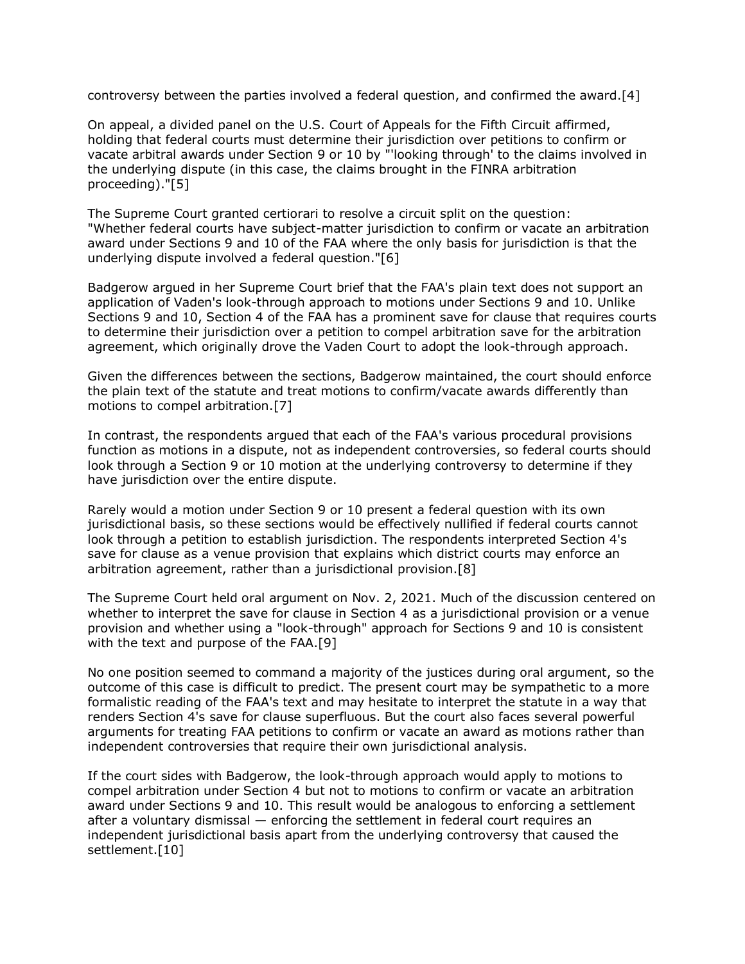controversy between the parties involved a federal question, and confirmed the award.[4]

On appeal, a divided panel on the [U.S. Court of Appeals for the Fifth Circuit](https://www.law360.com/agencies/u-s-court-of-appeals-for-the-fifth-circuit) affirmed, holding that federal courts must determine their jurisdiction over petitions to confirm or vacate arbitral awards under Section 9 or 10 by "'looking through' to the claims involved in the underlying dispute (in this case, the claims brought in the FINRA arbitration proceeding)."[5]

The Supreme Court granted certiorari to resolve a circuit split on the question: "Whether federal courts have subject-matter jurisdiction to confirm or vacate an arbitration award under Sections 9 and 10 of the FAA where the only basis for jurisdiction is that the underlying dispute involved a federal question."[6]

Badgerow argued in her Supreme Court brief that the FAA's plain text does not support an application of Vaden's look-through approach to motions under Sections 9 and 10. Unlike Sections 9 and 10, Section 4 of the FAA has a prominent save for clause that requires courts to determine their jurisdiction over a petition to compel arbitration save for the arbitration agreement, which originally drove the Vaden Court to adopt the look-through approach.

Given the differences between the sections, Badgerow maintained, the court should enforce the plain text of the statute and treat motions to confirm/vacate awards differently than motions to compel arbitration.[7]

In contrast, the respondents argued that each of the FAA's various procedural provisions function as motions in a dispute, not as independent controversies, so federal courts should look through a Section 9 or 10 motion at the underlying controversy to determine if they have jurisdiction over the entire dispute.

Rarely would a motion under Section 9 or 10 present a federal question with its own jurisdictional basis, so these sections would be effectively nullified if federal courts cannot look through a petition to establish jurisdiction. The respondents interpreted Section 4's save for clause as a venue provision that explains which district courts may enforce an arbitration agreement, rather than a jurisdictional provision.[8]

The Supreme Court held oral argument on Nov. 2, 2021. Much of the discussion centered on whether to interpret the save for clause in Section 4 as a jurisdictional provision or a venue provision and whether using a "look-through" approach for Sections 9 and 10 is consistent with the text and purpose of the FAA.[9]

No one position seemed to command a majority of the justices during oral argument, so the outcome of this case is difficult to predict. The present court may be sympathetic to a more formalistic reading of the FAA's text and may hesitate to interpret the statute in a way that renders Section 4's save for clause superfluous. But the court also faces several powerful arguments for treating FAA petitions to confirm or vacate an award as motions rather than independent controversies that require their own jurisdictional analysis.

If the court sides with Badgerow, the look-through approach would apply to motions to compel arbitration under Section 4 but not to motions to confirm or vacate an arbitration award under Sections 9 and 10. This result would be analogous to enforcing a settlement after a voluntary dismissal — enforcing the settlement in federal court requires an independent jurisdictional basis apart from the underlying controversy that caused the settlement.[10]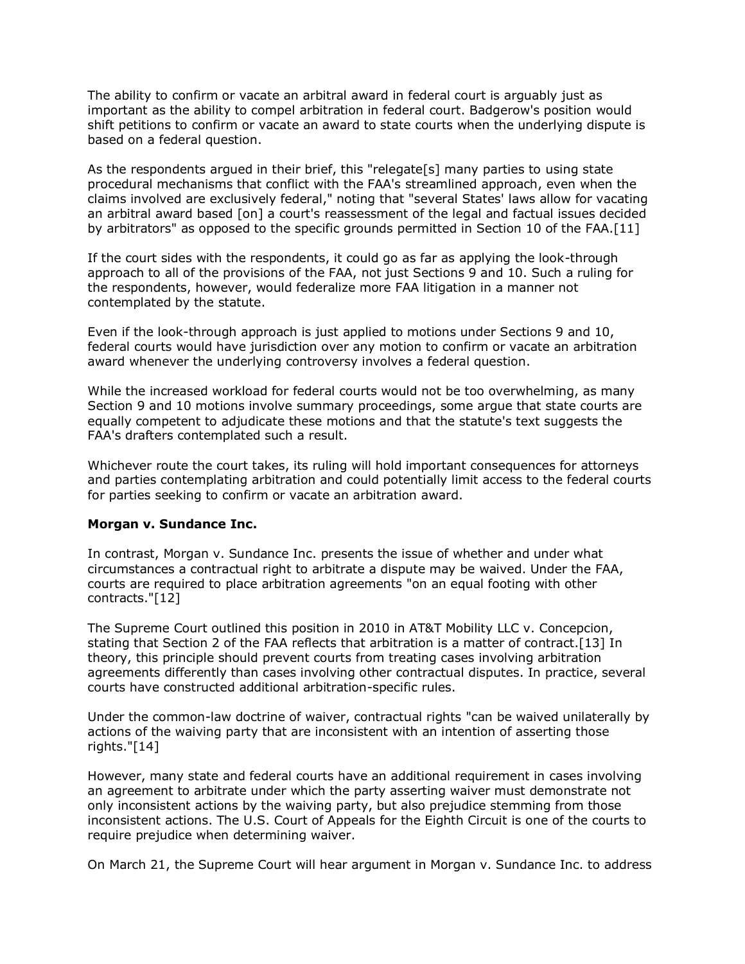The ability to confirm or vacate an arbitral award in federal court is arguably just as important as the ability to compel arbitration in federal court. Badgerow's position would shift petitions to confirm or vacate an award to state courts when the underlying dispute is based on a federal question.

As the respondents argued in their brief, this "relegate[s] many parties to using state procedural mechanisms that conflict with the FAA's streamlined approach, even when the claims involved are exclusively federal," noting that "several States' laws allow for vacating an arbitral award based [on] a court's reassessment of the legal and factual issues decided by arbitrators" as opposed to the specific grounds permitted in Section 10 of the FAA.[11]

If the court sides with the respondents, it could go as far as applying the look-through approach to all of the provisions of the FAA, not just Sections 9 and 10. Such a ruling for the respondents, however, would federalize more FAA litigation in a manner not contemplated by the statute.

Even if the look-through approach is just applied to motions under Sections 9 and 10, federal courts would have jurisdiction over any motion to confirm or vacate an arbitration award whenever the underlying controversy involves a federal question.

While the increased workload for federal courts would not be too overwhelming, as many Section 9 and 10 motions involve summary proceedings, some argue that state courts are equally competent to adjudicate these motions and that the statute's text suggests the FAA's drafters contemplated such a result.

Whichever route the court takes, its ruling will hold important consequences for attorneys and parties contemplating arbitration and could potentially limit access to the federal courts for parties seeking to confirm or vacate an arbitration award.

## **Morgan v. Sundance Inc.**

In contrast, Morgan v. Sundance Inc. presents the issue of whether and under what circumstances a contractual right to arbitrate a dispute may be waived. Under the FAA, courts are required to place arbitration agreements "on an equal footing with other contracts."[12]

The Supreme Court outlined this position in 2010 in AT&T Mobility LLC v. Concepcion, stating that Section 2 of the FAA reflects that arbitration is a matter of contract.[13] In theory, this principle should prevent courts from treating cases involving arbitration agreements differently than cases involving other contractual disputes. In practice, several courts have constructed additional arbitration-specific rules.

Under the common-law doctrine of waiver, contractual rights "can be waived unilaterally by actions of the waiving party that are inconsistent with an intention of asserting those rights."[14]

However, many state and federal courts have an additional requirement in cases involving an agreement to arbitrate under which the party asserting waiver must demonstrate not only inconsistent actions by the waiving party, but also prejudice stemming from those inconsistent actions. The [U.S. Court of Appeals for the Eighth Circuit](https://www.law360.com/agencies/u-s-court-of-appeals-for-the-eighth-circuit) is one of the courts to require prejudice when determining waiver.

On March 21, the Supreme Court will hear argument in Morgan v. Sundance Inc. to address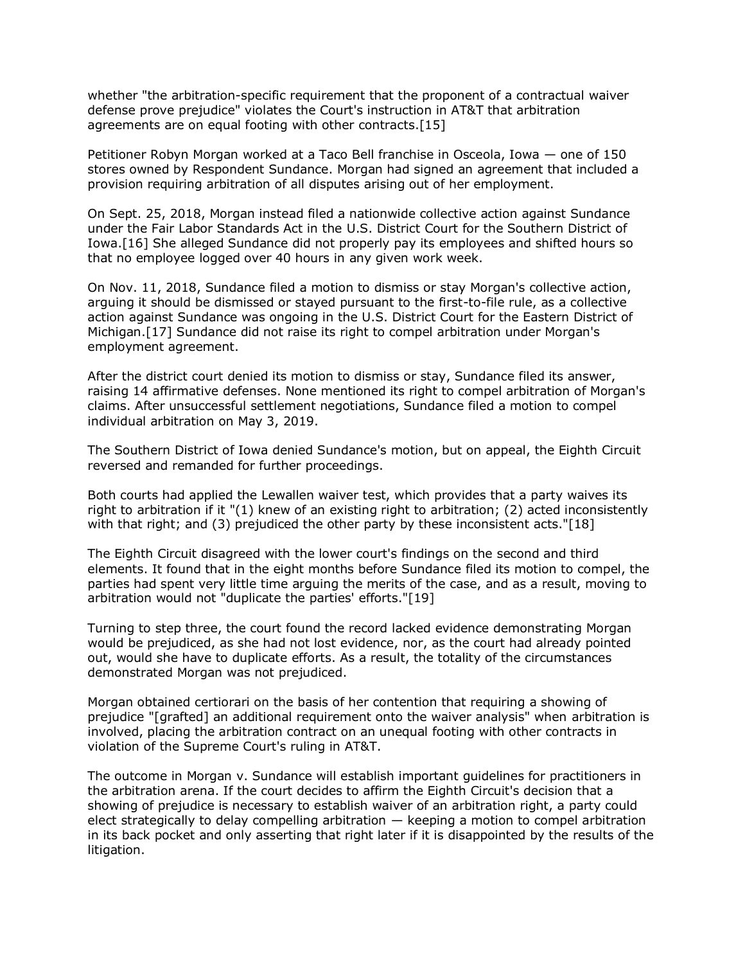whether "the arbitration-specific requirement that the proponent of a contractual waiver defense prove prejudice" violates the Court's instruction in AT&T that arbitration agreements are on equal footing with other contracts.[15]

Petitioner Robyn Morgan worked at a Taco Bell franchise in Osceola, Iowa — one of 150 stores owned by Respondent Sundance. Morgan had signed an agreement that included a provision requiring arbitration of all disputes arising out of her employment.

On Sept. 25, 2018, Morgan instead filed a nationwide collective action against Sundance under the Fair Labor Standards Act in the [U.S. District Court for the Southern District of](https://www.law360.com/agencies/u-s-district-court-for-the-southern-district-of-iowa)  [Iowa.](https://www.law360.com/agencies/u-s-district-court-for-the-southern-district-of-iowa)[16] She alleged Sundance did not properly pay its employees and shifted hours so that no employee logged over 40 hours in any given work week.

On Nov. 11, 2018, Sundance filed a motion to dismiss or stay Morgan's collective action, arguing it should be dismissed or stayed pursuant to the first-to-file rule, as a collective action against Sundance was ongoing in the [U.S. District Court for the Eastern District of](https://www.law360.com/agencies/u-s-district-court-for-the-eastern-district-of-michigan)  [Michigan.](https://www.law360.com/agencies/u-s-district-court-for-the-eastern-district-of-michigan)[17] Sundance did not raise its right to compel arbitration under Morgan's employment agreement.

After the district court denied its motion to dismiss or stay, Sundance filed its answer, raising 14 affirmative defenses. None mentioned its right to compel arbitration of Morgan's claims. After unsuccessful settlement negotiations, Sundance filed a motion to compel individual arbitration on May 3, 2019.

The Southern District of Iowa denied Sundance's motion, but on appeal, the Eighth Circuit reversed and remanded for further proceedings.

Both courts had applied the Lewallen waiver test, which provides that a party waives its right to arbitration if it "(1) knew of an existing right to arbitration; (2) acted inconsistently with that right; and (3) prejudiced the other party by these inconsistent acts."[18]

The Eighth Circuit disagreed with the lower court's findings on the second and third elements. It found that in the eight months before Sundance filed its motion to compel, the parties had spent very little time arguing the merits of the case, and as a result, moving to arbitration would not "duplicate the parties' efforts."[19]

Turning to step three, the court found the record lacked evidence demonstrating Morgan would be prejudiced, as she had not lost evidence, nor, as the court had already pointed out, would she have to duplicate efforts. As a result, the totality of the circumstances demonstrated Morgan was not prejudiced.

Morgan obtained certiorari on the basis of her contention that requiring a showing of prejudice "[grafted] an additional requirement onto the waiver analysis" when arbitration is involved, placing the arbitration contract on an unequal footing with other contracts in violation of the Supreme Court's ruling in AT&T.

The outcome in Morgan v. Sundance will establish important guidelines for practitioners in the arbitration arena. If the court decides to affirm the Eighth Circuit's decision that a showing of prejudice is necessary to establish waiver of an arbitration right, a party could elect strategically to delay compelling arbitration — keeping a motion to compel arbitration in its back pocket and only asserting that right later if it is disappointed by the results of the litigation.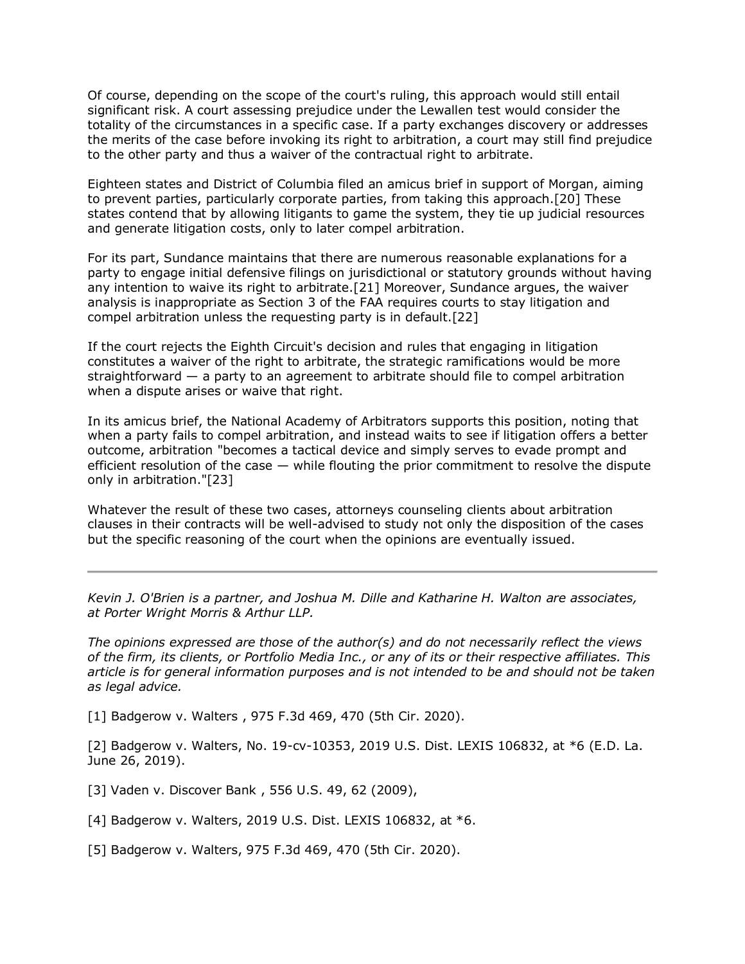Of course, depending on the scope of the court's ruling, this approach would still entail significant risk. A court assessing prejudice under the Lewallen test would consider the totality of the circumstances in a specific case. If a party exchanges discovery or addresses the merits of the case before invoking its right to arbitration, a court may still find prejudice to the other party and thus a waiver of the contractual right to arbitrate.

Eighteen states and District of Columbia filed an amicus brief in support of Morgan, aiming to prevent parties, particularly corporate parties, from taking this approach.[20] These states contend that by allowing litigants to game the system, they tie up judicial resources and generate litigation costs, only to later compel arbitration.

For its part, Sundance maintains that there are numerous reasonable explanations for a party to engage initial defensive filings on jurisdictional or statutory grounds without having any intention to waive its right to arbitrate.[21] Moreover, Sundance argues, the waiver analysis is inappropriate as Section 3 of the FAA requires courts to stay litigation and compel arbitration unless the requesting party is in default.[22]

If the court rejects the Eighth Circuit's decision and rules that engaging in litigation constitutes a waiver of the right to arbitrate, the strategic ramifications would be more straightforward — a party to an agreement to arbitrate should file to compel arbitration when a dispute arises or waive that right.

In its amicus brief, the National Academy of Arbitrators supports this position, noting that when a party fails to compel arbitration, and instead waits to see if litigation offers a better outcome, arbitration "becomes a tactical device and simply serves to evade prompt and efficient resolution of the case  $-$  while flouting the prior commitment to resolve the dispute only in arbitration."[23]

Whatever the result of these two cases, attorneys counseling clients about arbitration clauses in their contracts will be well-advised to study not only the disposition of the cases but the specific reasoning of the court when the opinions are eventually issued.

*[Kevin J. O'Brien](https://www.porterwright.com/kevin-j-obrien/) is a partner, and [Joshua M. Dille](https://www.porterwright.com/joshua-m-dille/) and [Katharine H. Walton](https://www.porterwright.com/katharine-h-walton/services/) are associates, at [Porter Wright Morris & Arthur LLP.](https://www.law360.com/firms/porter-wright)*

*The opinions expressed are those of the author(s) and do not necessarily reflect the views of the firm, its clients, or Portfolio Media Inc., or any of its or their respective affiliates. This article is for general information purposes and is not intended to be and should not be taken as legal advice.*

[1] [Badgerow v. Walters](https://advance.lexis.com/api/search?q=2020%20U.S.%20App.%20LEXIS%2029339&qlang=bool&origination=law360&internalOrigination=article_id%3D1465931%3Bcitation%3D2020%20U.S.%20App.%20LEXIS%2029339&originationDetail=headline%3D2%20High%20Court%20Cases%20That%20Can%20Alter%20Arbitration%20Playing%20Field&) , 975 F.3d 469, 470 (5th Cir. 2020).

[2] Badgerow v. Walters, No. 19-cv-10353, 2019 U.S. Dist. LEXIS 106832, at \*6 (E.D. La. June 26, 2019).

[3] [Vaden v. Discover Bank](https://advance.lexis.com/api/search?q=2009%20U.S.%20LEXIS%201781&qlang=bool&origination=law360&internalOrigination=article_id%3D1465931%3Bcitation%3D2009%20U.S.%20LEXIS%201781&originationDetail=headline%3D2%20High%20Court%20Cases%20That%20Can%20Alter%20Arbitration%20Playing%20Field&) , 556 U.S. 49, 62 (2009),

[4] Badgerow v. Walters, 2019 U.S. Dist. LEXIS 106832, at \*6.

[5] Badgerow v. Walters, 975 F.3d 469, 470 (5th Cir. 2020).